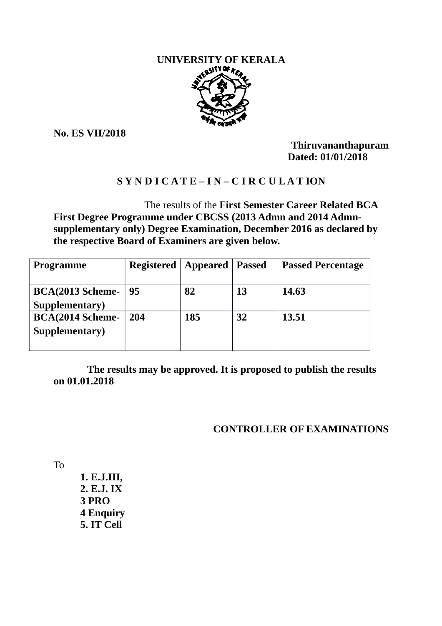

**No. ES VII/2018**

**Thiruvananthapuram Dated: 01/01/2018**

# **S Y N D I C A T E – I N – C I R C U L A T ION**

 The results of the **First Semester Career Related BCA First Degree Programme under CBCSS (2013 Admn and 2014 Admnsupplementary only) Degree Examination, December 2016 as declared by the respective Board of Examiners are given below.**

| Programme                                 | <b>Registered   Appeared</b> |     | Passed | <b>Passed Percentage</b> |
|-------------------------------------------|------------------------------|-----|--------|--------------------------|
| <b>BCA(2013 Scheme-</b><br>Supplementary) | 95                           | 82  | 13     | 14.63                    |
| <b>BCA(2014 Scheme-</b><br>Supplementary) | 204                          | 185 | 32     | 13.51                    |

 **The results may be approved. It is proposed to publish the results on 01.01.2018**

# **CONTROLLER OF EXAMINATIONS**

To

 **1. E.J.III, 2. E.J. IX 3 PRO 4 Enquiry 5. IT Cell**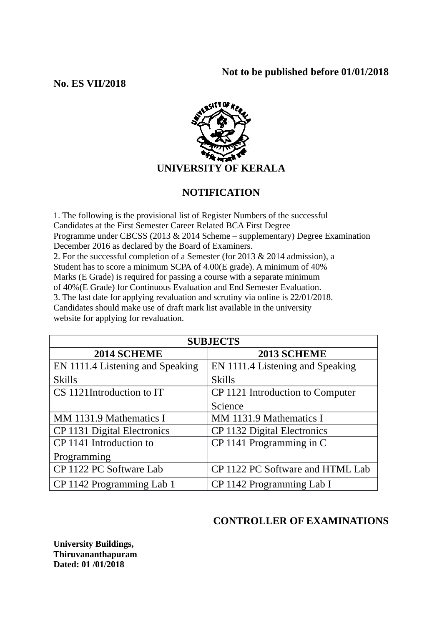## **Not to be published before 01/01/2018**

## **No. ES VII/2018**



# **NOTIFICATION**

1. The following is the provisional list of Register Numbers of the successful Candidates at the First Semester Career Related BCA First Degree Programme under CBCSS (2013 & 2014 Scheme – supplementary) Degree Examination December 2016 as declared by the Board of Examiners. 2. For the successful completion of a Semester (for 2013 & 2014 admission), a Student has to score a minimum SCPA of 4.00(E grade). A minimum of 40% Marks (E Grade) is required for passing a course with a separate minimum of 40%(E Grade) for Continuous Evaluation and End Semester Evaluation. 3. The last date for applying revaluation and scrutiny via online is 22/01/2018. Candidates should make use of draft mark list available in the university website for applying for revaluation.

| <b>SUBJECTS</b>                  |                                  |  |  |  |
|----------------------------------|----------------------------------|--|--|--|
| 2014 SCHEME                      | 2013 SCHEME                      |  |  |  |
| EN 1111.4 Listening and Speaking | EN 1111.4 Listening and Speaking |  |  |  |
| <b>Skills</b>                    | <b>Skills</b>                    |  |  |  |
| CS 1121Introduction to IT        | CP 1121 Introduction to Computer |  |  |  |
|                                  | Science                          |  |  |  |
| MM 1131.9 Mathematics I          | MM 1131.9 Mathematics I          |  |  |  |
| CP 1131 Digital Electronics      | CP 1132 Digital Electronics      |  |  |  |
| CP 1141 Introduction to          | CP 1141 Programming in C         |  |  |  |
| Programming                      |                                  |  |  |  |
| CP 1122 PC Software Lab          | CP 1122 PC Software and HTML Lab |  |  |  |
| CP 1142 Programming Lab 1        | CP 1142 Programming Lab I        |  |  |  |

# **CONTROLLER OF EXAMINATIONS**

**University Buildings, Thiruvananthapuram Dated: 01 /01/2018**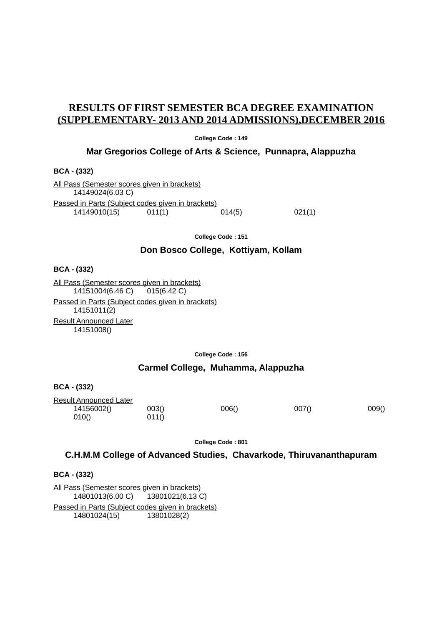## **RESULTS OF FIRST SEMESTER BCA DEGREE EXAMINATION (SUPPLEMENTARY- 2013 AND 2014 ADMISSIONS),DECEMBER 2016**

**College Code : 149**

#### **Mar Gregorios College of Arts & Science, Punnapra, Alappuzha**

**BCA - (332)**

All Pass (Semester scores given in brackets) 14149024(6.03 C) Passed in Parts (Subject codes given in brackets)  $14149010(15)$   $011(1)$  014(5) 021(1)

**College Code : 151**

### **Don Bosco College, Kottiyam, Kollam**

**BCA - (332)**

All Pass (Semester scores given in brackets) 14151004(6.46 C) 015(6.42 C) Passed in Parts (Subject codes given in brackets) 14151011(2) Result Announced Later 14151008()

**College Code : 156**

### **Carmel College, Muhamma, Alappuzha**

**BCA - (332)**

Result Announced Later 14156002() 003() 006() 007() 009() 010() 011()

**College Code : 801**

#### **C.H.M.M College of Advanced Studies, Chavarkode, Thiruvananthapuram**

**BCA - (332)**

All Pass (Semester scores given in brackets) 14801013(6.00 C) 13801021(6.13 C) Passed in Parts (Subject codes given in brackets) 14801024(15) 13801028(2)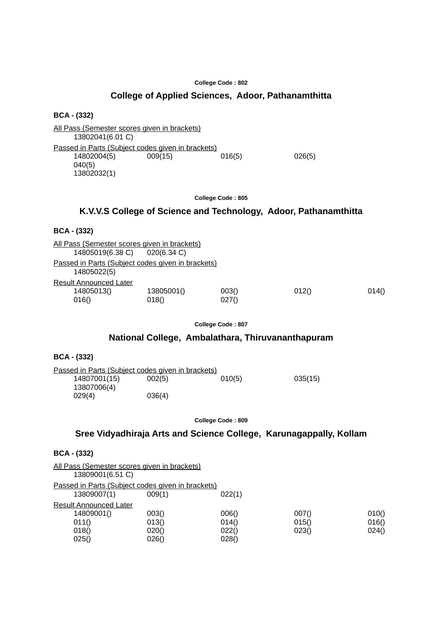### **College of Applied Sciences, Adoor, Pathanamthitta**

**BCA - (332)**

All Pass (Semester scores given in brackets) 13802041(6.01 C) Passed in Parts (Subject codes given in brackets)<br>14802004(5) 009(15) 016(5) 14802004(5) 009(15) 016(5) 026(5) 040(5) 13802032(1)

**College Code : 805**

### **K.V.V.S College of Science and Technology, Adoor, Pathanamthitta**

#### **BCA - (332)**

| All Pass (Semester scores given in brackets)                     |                     |                |       |       |
|------------------------------------------------------------------|---------------------|----------------|-------|-------|
| 14805019(6.38 C) 020(6.34 C)                                     |                     |                |       |       |
| Passed in Parts (Subject codes given in brackets)<br>14805022(5) |                     |                |       |       |
| Result Announced Later                                           |                     |                |       |       |
| 14805013()<br>016()                                              | 13805001()<br>018() | 003()<br>027() | 012() | 014() |

**College Code : 807**

### **National College, Ambalathara, Thiruvananthapuram**

| <b>BCA - (332)</b> |  |  |
|--------------------|--|--|
|--------------------|--|--|

| Passed in Parts (Subject codes given in brackets) |        |        |         |
|---------------------------------------------------|--------|--------|---------|
| 14807001(15)                                      | 002(5) | 010(5) | 035(15) |
| 13807006(4)                                       |        |        |         |
| 029(4)                                            | 036(4) |        |         |

**College Code : 809**

### **Sree Vidyadhiraja Arts and Science College, Karunagappally, Kollam**

#### **BCA - (332)**

| 010() |
|-------|
| 016() |
| 024() |
|       |
|       |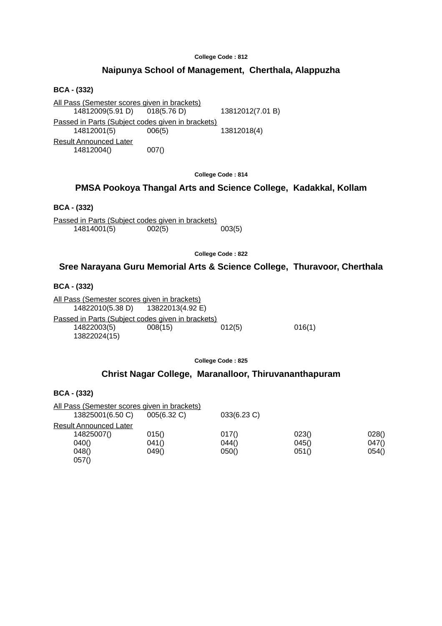### **Naipunya School of Management, Cherthala, Alappuzha**

**BCA - (332)**

All Pass (Semester scores given in brackets)<br>14812009(5.91 D) 018(5.76 D) 14812009(5.91 D) 018(5.76 D) 13812012(7.01 B) Passed in Parts (Subject codes given in brackets) 14812001(5) 006(5) 13812018(4) Result Announced Later 14812004() 007()

**College Code : 814**

### **PMSA Pookoya Thangal Arts and Science College, Kadakkal, Kollam**

**BCA - (332)**

Passed in Parts (Subject codes given in brackets) 14814001(5) 002(5) 003(5)

**College Code : 822**

### **Sree Narayana Guru Memorial Arts & Science College, Thuravoor, Cherthala**

**BCA - (332)**

**BCA - (332)**

All Pass (Semester scores given in brackets) 14822010(5.38 D) 13822013(4.92 E) Passed in Parts (Subject codes given in brackets) 14822003(5) 008(15) 012(5) 016(1) 13822024(15)

**College Code : 825**

#### **Christ Nagar College, Maranalloor, Thiruvananthapuram**

| <b>BUA - (334)</b>                                               |                         |                         |                         |                         |
|------------------------------------------------------------------|-------------------------|-------------------------|-------------------------|-------------------------|
| All Pass (Semester scores given in brackets)<br>13825001(6.50 C) | 005(6.32 C)             | 033(6.23 C)             |                         |                         |
| Result Announced Later<br>14825007()<br>040()<br>048()<br>057()  | 015()<br>041()<br>049() | 017()<br>044()<br>050() | 023()<br>045()<br>051() | 028()<br>047()<br>054() |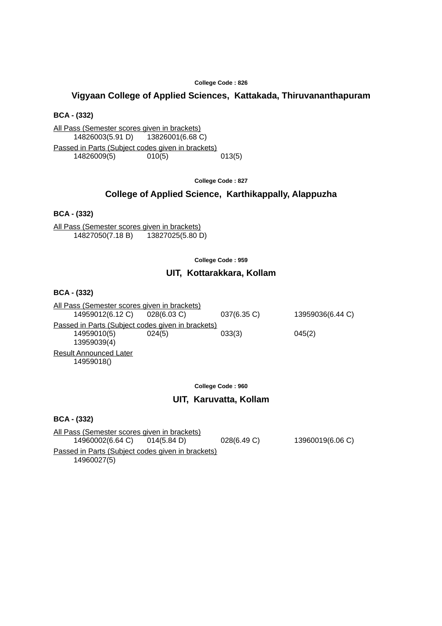### **Vigyaan College of Applied Sciences, Kattakada, Thiruvananthapuram**

**BCA - (332)**

All Pass (Semester scores given in brackets) 14826003(5.91 D) 13826001(6.68 C)

Passed in Parts (Subject codes given in brackets) 14826009(5) 010(5) 013(5)

**College Code : 827**

#### **College of Applied Science, Karthikappally, Alappuzha**

**BCA - (332)**

All Pass (Semester scores given in brackets) 14827050(7.18 B) 13827025(5.80 D)

**College Code : 959**

#### **UIT, Kottarakkara, Kollam**

**BCA - (332)**

All Pass (Semester scores given in brackets) 14959012(6.12 C) 028(6.03 C) 037(6.35 C) 13959036(6.44 C) Passed in Parts (Subject codes given in brackets) 14959010(5) 024(5) 033(3) 045(2) 13959039(4) Result Announced Later 14959018()

**College Code : 960**

#### **UIT, Karuvatta, Kollam**

**BCA - (332)**

| All Pass (Semester scores given in brackets)                     |             |                  |
|------------------------------------------------------------------|-------------|------------------|
| 14960002(6.64 C) 014(5.84 D)                                     | 028(6.49 C) | 13960019(6.06 C) |
| Passed in Parts (Subject codes given in brackets)<br>14960027(5) |             |                  |